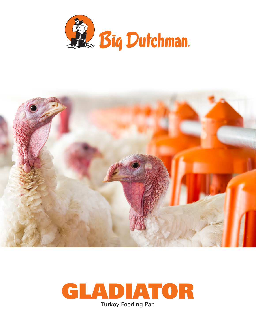